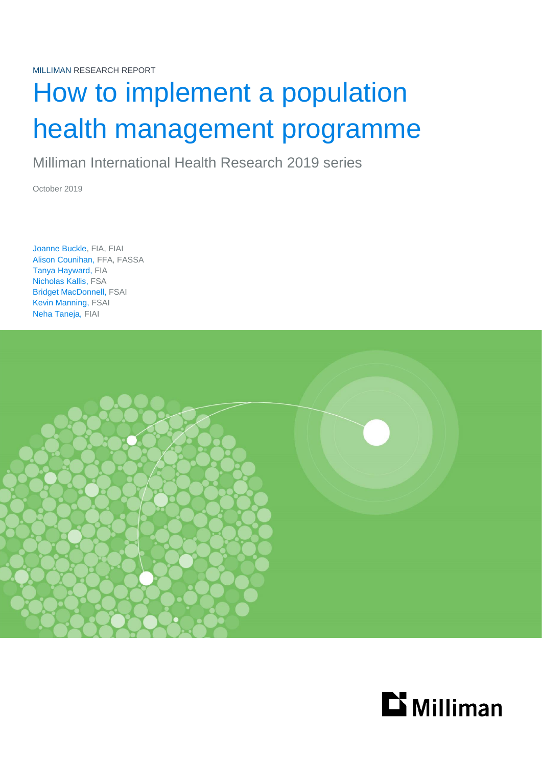MILLIMAN RESEARCH REPORT

# How to implement a population health management programme

Milliman International Health Research 2019 series

October 2019

Joanne Buckle, FIA, FIAI Alison Counihan, FFA, FASSA Tanya Hayward, FIA Nicholas Kallis, FSA Bridget MacDonnell, FSAI Kevin Manning, FSAI Neha Taneja, FIAI



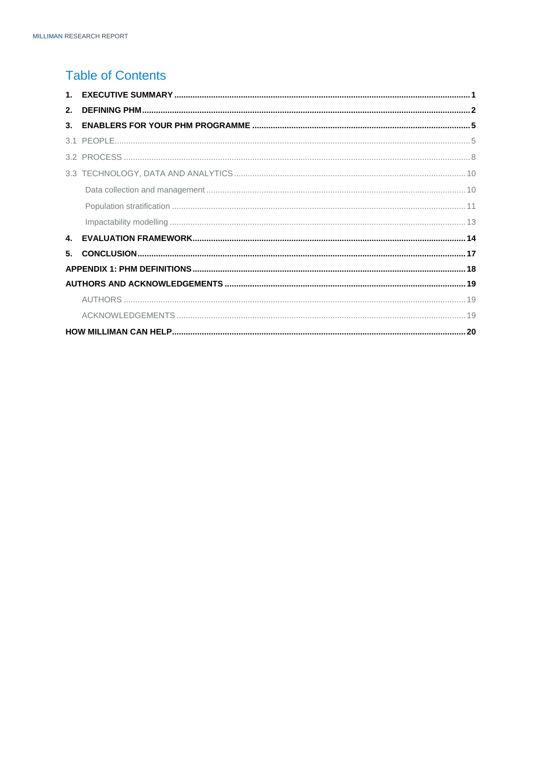# **Table of Contents**

| 2. |  |  |  |  |
|----|--|--|--|--|
|    |  |  |  |  |
|    |  |  |  |  |
|    |  |  |  |  |
|    |  |  |  |  |
|    |  |  |  |  |
|    |  |  |  |  |
|    |  |  |  |  |
|    |  |  |  |  |
| 5. |  |  |  |  |
|    |  |  |  |  |
|    |  |  |  |  |
|    |  |  |  |  |
|    |  |  |  |  |
|    |  |  |  |  |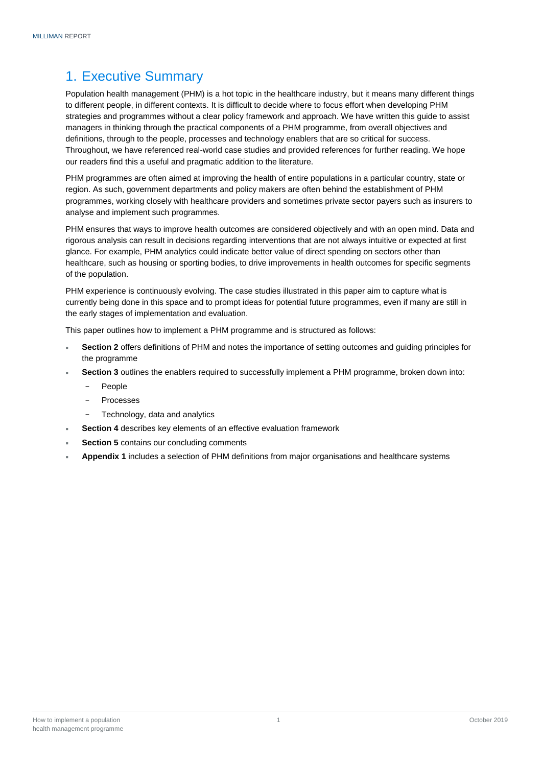# <span id="page-2-0"></span>1. Executive Summary

Population health management (PHM) is a hot topic in the healthcare industry, but it means many different things to different people, in different contexts. It is difficult to decide where to focus effort when developing PHM strategies and programmes without a clear policy framework and approach. We have written this guide to assist managers in thinking through the practical components of a PHM programme, from overall objectives and definitions, through to the people, processes and technology enablers that are so critical for success. Throughout, we have referenced real-world case studies and provided references for further reading. We hope our readers find this a useful and pragmatic addition to the literature.

PHM programmes are often aimed at improving the health of entire populations in a particular country, state or region. As such, government departments and policy makers are often behind the establishment of PHM programmes, working closely with healthcare providers and sometimes private sector payers such as insurers to analyse and implement such programmes.

PHM ensures that ways to improve health outcomes are considered objectively and with an open mind. Data and rigorous analysis can result in decisions regarding interventions that are not always intuitive or expected at first glance. For example, PHM analytics could indicate better value of direct spending on sectors other than healthcare, such as housing or sporting bodies, to drive improvements in health outcomes for specific segments of the population.

PHM experience is continuously evolving. The case studies illustrated in this paper aim to capture what is currently being done in this space and to prompt ideas for potential future programmes, even if many are still in the early stages of implementation and evaluation.

This paper outlines how to implement a PHM programme and is structured as follows:

- **Section 2** offers definitions of PHM and notes the importance of setting outcomes and guiding principles for the programme
- **Section 3** outlines the enablers required to successfully implement a PHM programme, broken down into:
	- − People
	- − Processes
	- Technology, data and analytics
	- **Section 4** describes key elements of an effective evaluation framework
- **Section 5** contains our concluding comments
- **Appendix 1** includes a selection of PHM definitions from major organisations and healthcare systems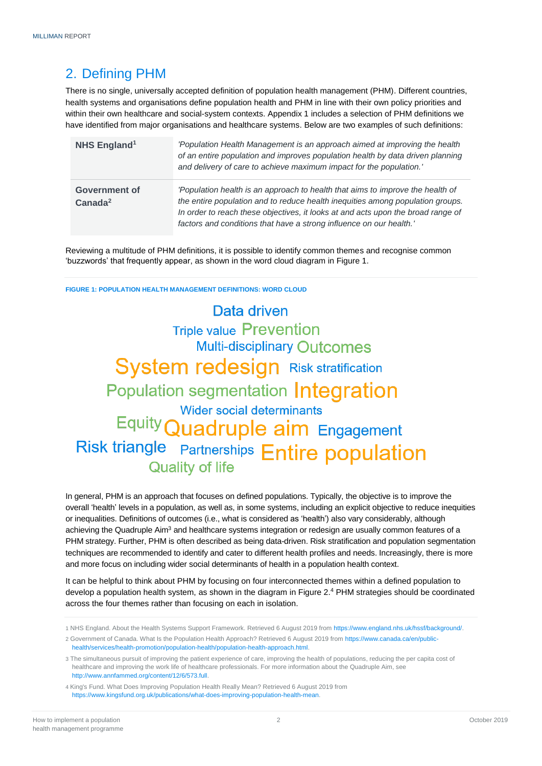# <span id="page-3-0"></span>2. Defining PHM

There is no single, universally accepted definition of population health management (PHM). Different countries, health systems and organisations define population health and PHM in line with their own policy priorities and within their own healthcare and social-system contexts. Appendix 1 includes a selection of PHM definitions we have identified from major organisations and healthcare systems. Below are two examples of such definitions:

| NHS England <sup>1</sup>                    | 'Population Health Management is an approach aimed at improving the health<br>of an entire population and improves population health by data driven planning<br>and delivery of care to achieve maximum impact for the population.'                                                                                         |
|---------------------------------------------|-----------------------------------------------------------------------------------------------------------------------------------------------------------------------------------------------------------------------------------------------------------------------------------------------------------------------------|
| <b>Government of</b><br>Canada <sup>2</sup> | 'Population health is an approach to health that aims to improve the health of<br>the entire population and to reduce health inequities among population groups.<br>In order to reach these objectives, it looks at and acts upon the broad range of<br>factors and conditions that have a strong influence on our health.' |

Reviewing a multitude of PHM definitions, it is possible to identify common themes and recognise common 'buzzwords' that frequently appear, as shown in the word cloud diagram in Figure 1.

**FIGURE 1: POPULATION HEALTH MANAGEMENT DEFINITIONS: WORD CLOUD**

Data driven **Triple value Prevention Multi-disciplinary Outcomes** System redesign Risk stratification **Population segmentation Integration** Wider social determinants Equity Quadruple aim Engagement Risk triangle **Partnerships** Entire population **Quality of life** 

In general, PHM is an approach that focuses on defined populations. Typically, the objective is to improve the overall 'health' levels in a population, as well as, in some systems, including an explicit objective to reduce inequities or inequalities. Definitions of outcomes (i.e., what is considered as 'health') also vary considerably, although achieving the Quadruple Aim<sup>3</sup> and healthcare systems integration or redesign are usually common features of a PHM strategy. Further, PHM is often described as being data-driven. Risk stratification and population segmentation techniques are recommended to identify and cater to different health profiles and needs. Increasingly, there is more and more focus on including wider social determinants of health in a population health context.

It can be helpful to think about PHM by focusing on four interconnected themes within a defined population to develop a population health system, as shown in the diagram in Figure 2.<sup>4</sup> PHM strategies should be coordinated across the four themes rather than focusing on each in isolation.

<sup>1</sup> NHS England. About the Health Systems Support Framework. Retrieved 6 August 2019 from [https://www.england.nhs.uk/hssf/background/.](https://www.england.nhs.uk/hssf/background/)

<sup>2</sup> Government of Canada. What Is the Population Health Approach? Retrieved 6 August 2019 fro[m https://www.canada.ca/en/public](https://www.canada.ca/en/public-health/services/health-promotion/population-health/population-health-approach.html)[health/services/health-promotion/population-health/population-health-approach.html.](https://www.canada.ca/en/public-health/services/health-promotion/population-health/population-health-approach.html)

<sup>3</sup> The simultaneous pursuit of improving the patient experience of care, improving the health of populations, reducing the per capita cost of healthcare and improving the work life of healthcare professionals. For more information about the Quadruple Aim, see [http://www.annfammed.org/content/12/6/573.full.](http://www.annfammed.org/content/12/6/573.full)

<sup>4</sup> King's Fund. What Does Improving Population Health Really Mean? Retrieved 6 August 2019 from [https://www.kingsfund.org.uk/publications/what-does-improving-population-health-mean.](https://www.kingsfund.org.uk/publications/what-does-improving-population-health-mean)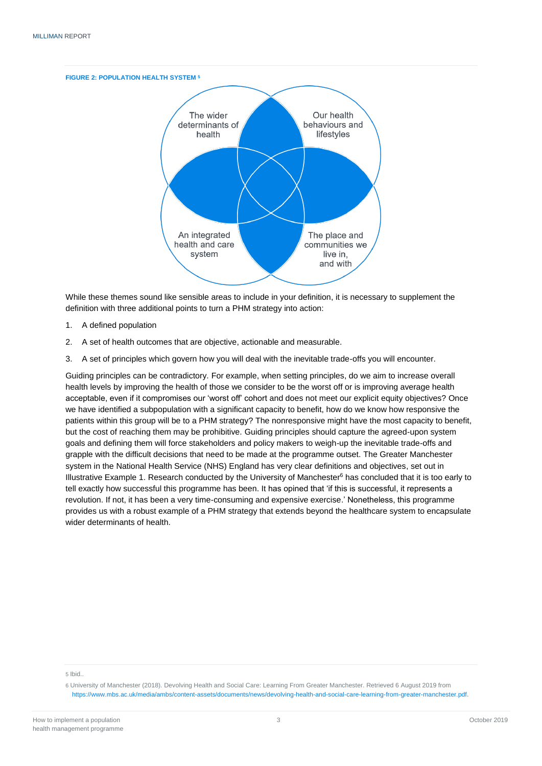

While these themes sound like sensible areas to include in your definition, it is necessary to supplement the definition with three additional points to turn a PHM strategy into action:

- 1. A defined population
- 2. A set of health outcomes that are objective, actionable and measurable.
- 3. A set of principles which govern how you will deal with the inevitable trade-offs you will encounter.

Guiding principles can be contradictory. For example, when setting principles, do we aim to increase overall health levels by improving the health of those we consider to be the worst off or is improving average health acceptable, even if it compromises our 'worst off' cohort and does not meet our explicit equity objectives? Once we have identified a subpopulation with a significant capacity to benefit, how do we know how responsive the patients within this group will be to a PHM strategy? The nonresponsive might have the most capacity to benefit, but the cost of reaching them may be prohibitive. Guiding principles should capture the agreed-upon system goals and defining them will force stakeholders and policy makers to weigh-up the inevitable trade-offs and grapple with the difficult decisions that need to be made at the programme outset. The Greater Manchester system in the National Health Service (NHS) England has very clear definitions and objectives, set out in Illustrative Example 1. Research conducted by the University of Manchester<sup>6</sup> has concluded that it is too early to tell exactly how successful this programme has been. It has opined that 'if this is successful, it represents a revolution. If not, it has been a very time-consuming and expensive exercise.' Nonetheless, this programme provides us with a robust example of a PHM strategy that extends beyond the healthcare system to encapsulate wider determinants of health

5 Ibid..

<sup>6</sup> University of Manchester (2018). Devolving Health and Social Care: Learning From Greater Manchester. Retrieved 6 August 2019 from <https://www.mbs.ac.uk/media/ambs/content-assets/documents/news/devolving-health-and-social-care-learning-from-greater-manchester.pdf>.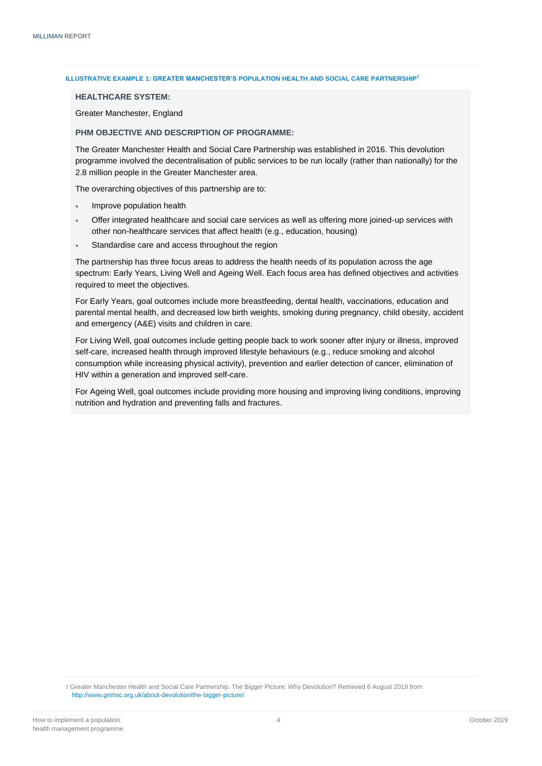#### **ILLUSTRATIVE EXAMPLE 1: GREATER MANCHESTER'S POPULATION HEALTH AND SOCIAL CARE PARTNERSHIP<sup>7</sup>**

#### **HEALTHCARE SYSTEM:**

Greater Manchester, England

# **PHM OBJECTIVE AND DESCRIPTION OF PROGRAMME:**

The Greater Manchester Health and Social Care Partnership was established in 2016. This devolution programme involved the decentralisation of public services to be run locally (rather than nationally) for the 2.8 million people in the Greater Manchester area.

The overarching objectives of this partnership are to:

- Improve population health
- Offer integrated healthcare and social care services as well as offering more joined-up services with other non-healthcare services that affect health (e.g., education, housing)
- Standardise care and access throughout the region

The partnership has three focus areas to address the health needs of its population across the age spectrum: Early Years, Living Well and Ageing Well. Each focus area has defined objectives and activities required to meet the objectives.

For Early Years, goal outcomes include more breastfeeding, dental health, vaccinations, education and parental mental health, and decreased low birth weights, smoking during pregnancy, child obesity, accident and emergency (A&E) visits and children in care.

For Living Well, goal outcomes include getting people back to work sooner after injury or illness, improved self-care, increased health through improved lifestyle behaviours (e.g., reduce smoking and alcohol consumption while increasing physical activity), prevention and earlier detection of cancer, elimination of HIV within a generation and improved self-care.

For Ageing Well, goal outcomes include providing more housing and improving living conditions, improving nutrition and hydration and preventing falls and fractures.

7 Greater Manchester Health and Social Care Partnership. The Bigger Picture: Why Devolution? Retrieved 6 August 2019 from [http://www.gmhsc.org.uk/about-devolution/the-bigger-picture/.](http://www.gmhsc.org.uk/about-devolution/the-bigger-picture/)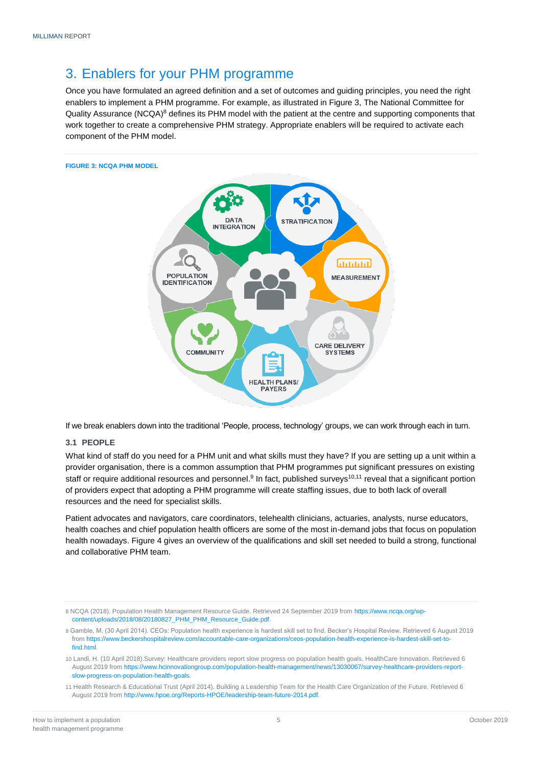# <span id="page-6-0"></span>3. Enablers for your PHM programme

Once you have formulated an agreed definition and a set of outcomes and guiding principles, you need the right enablers to implement a PHM programme. For example, as illustrated in Figure 3, The National Committee for Quality Assurance (NCQA)<sup>8</sup> defines its PHM model with the patient at the centre and supporting components that work together to create a comprehensive PHM strategy. Appropriate enablers will be required to activate each component of the PHM model.

**FIGURE 3: NCQA PHM MODEL**



If we break enablers down into the traditional 'People, process, technology' groups, we can work through each in turn.

# <span id="page-6-1"></span>**3.1 PEOPLE**

What kind of staff do you need for a PHM unit and what skills must they have? If you are setting up a unit within a provider organisation, there is a common assumption that PHM programmes put significant pressures on existing staff or require additional resources and personnel.<sup>9</sup> In fact, published surveys<sup>10,11</sup> reveal that a significant portion of providers expect that adopting a PHM programme will create staffing issues, due to both lack of overall resources and the need for specialist skills.

Patient advocates and navigators, care coordinators, telehealth clinicians, actuaries, analysts, nurse educators, health coaches and chief population health officers are some of the most in-demand jobs that focus on population health nowadays[. Figure 4](#page-7-0) gives an overview of the qualifications and skill set needed to build a strong, functional and collaborative PHM team.

<sup>8</sup> NCQA (2018). Population Health Management Resource Guide. Retrieved 24 September 2019 fro[m https://www.ncqa.org/wp](https://www.ncqa.org/wp-content/uploads/2018/08/20180827_PHM_PHM_Resource_Guide.pdf)[content/uploads/2018/08/20180827\\_PHM\\_PHM\\_Resource\\_Guide.pdf.](https://www.ncqa.org/wp-content/uploads/2018/08/20180827_PHM_PHM_Resource_Guide.pdf)

<sup>9</sup> Gamble, M. (30 April 2014). CEOs: Population health experience is hardest skill set to find. Becker's Hospital Review. Retrieved 6 August 2019 fro[m https://www.beckershospitalreview.com/accountable-care-organizations/ceos-population-health-experience-is-hardest-skill-set-to](https://www.beckershospitalreview.com/accountable-care-organizations/ceos-population-health-experience-is-hardest-skill-set-to-find.html)[find.html.](https://www.beckershospitalreview.com/accountable-care-organizations/ceos-population-health-experience-is-hardest-skill-set-to-find.html)

<sup>10</sup> Landi, H. (10 April 2018).Survey: Healthcare providers report slow progress on population health goals. HealthCare Innovation. Retrieved 6 August 2019 fro[m https://www.hcinnovationgroup.com/population-health-management/news/13030067/survey-healthcare-providers-report](https://www.hcinnovationgroup.com/population-health-management/news/13030067/survey-healthcare-providers-report-slow-progress-on-population-health-goals)[slow-progress-on-population-health-goals.](https://www.hcinnovationgroup.com/population-health-management/news/13030067/survey-healthcare-providers-report-slow-progress-on-population-health-goals)

<sup>11</sup> Health Research & Educational Trust (April 2014). Building a Leadership Team for the Health Care Organization of the Future. Retrieved 6 August 2019 fro[m http://www.hpoe.org/Reports-HPOE/leadership-team-future-2014.pdf.](http://www.hpoe.org/Reports-HPOE/leadership-team-future-2014.pdf)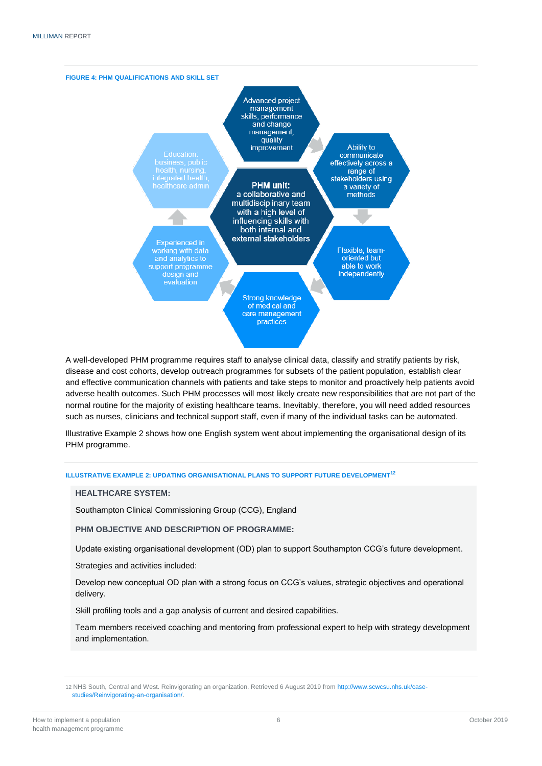<span id="page-7-0"></span>

A well-developed PHM programme requires staff to analyse clinical data, classify and stratify patients by risk, disease and cost cohorts, develop outreach programmes for subsets of the patient population, establish clear and effective communication channels with patients and take steps to monitor and proactively help patients avoid adverse health outcomes. Such PHM processes will most likely create new responsibilities that are not part of the normal routine for the majority of existing healthcare teams. Inevitably, therefore, you will need added resources such as nurses, clinicians and technical support staff, even if many of the individual tasks can be automated.

Illustrative Example 2 shows how one English system went about implementing the organisational design of its PHM programme.

### **ILLUSTRATIVE EXAMPLE 2: UPDATING ORGANISATIONAL PLANS TO SUPPORT FUTURE DEVELOPMENT<sup>12</sup>**

# **HEALTHCARE SYSTEM:**

Southampton Clinical Commissioning Group (CCG), England

**PHM OBJECTIVE AND DESCRIPTION OF PROGRAMME:**

Update existing organisational development (OD) plan to support Southampton CCG's future development.

Strategies and activities included:

Develop new conceptual OD plan with a strong focus on CCG's values, strategic objectives and operational delivery.

Skill profiling tools and a gap analysis of current and desired capabilities.

Team members received coaching and mentoring from professional expert to help with strategy development and implementation.

<sup>12</sup> NHS South, Central and West. Reinvigorating an organization. Retrieved 6 August 2019 fro[m http://www.scwcsu.nhs.uk/case](http://www.scwcsu.nhs.uk/case-studies/Reinvigorating-an-organisation/)[studies/Reinvigorating-an-organisation/.](http://www.scwcsu.nhs.uk/case-studies/Reinvigorating-an-organisation/)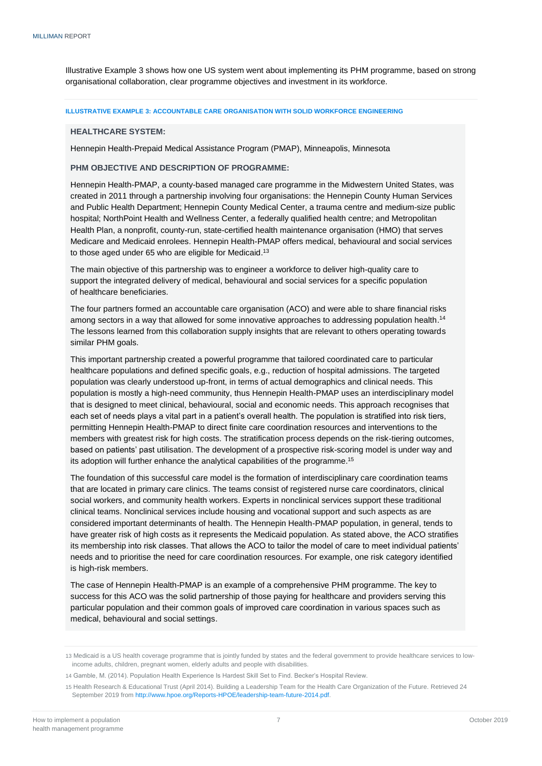Illustrative Example 3 shows how one US system went about implementing its PHM programme, based on strong organisational collaboration, clear programme objectives and investment in its workforce.

#### **ILLUSTRATIVE EXAMPLE 3: ACCOUNTABLE CARE ORGANISATION WITH SOLID WORKFORCE ENGINEERING**

# **HEALTHCARE SYSTEM:**

Hennepin Health-Prepaid Medical Assistance Program (PMAP), Minneapolis, Minnesota

### **PHM OBJECTIVE AND DESCRIPTION OF PROGRAMME:**

Hennepin Health-PMAP, a county-based managed care programme in the Midwestern United States, was created in 2011 through a partnership involving four organisations: the Hennepin County Human Services and Public Health Department; Hennepin County Medical Center, a trauma centre and medium-size public hospital; NorthPoint Health and Wellness Center, a federally qualified health centre; and Metropolitan Health Plan, a nonprofit, county-run, state-certified health maintenance organisation (HMO) that serves Medicare and Medicaid enrolees. Hennepin Health-PMAP offers medical, behavioural and social services to those aged under 65 who are eligible for Medicaid.<sup>13</sup>

The main objective of this partnership was to engineer a workforce to deliver high-quality care to support the integrated delivery of medical, behavioural and social services for a specific population of healthcare beneficiaries.

The four partners formed an accountable care organisation (ACO) and were able to share financial risks among sectors in a way that allowed for some innovative approaches to addressing population health.<sup>14</sup> The lessons learned from this collaboration supply insights that are relevant to others operating towards similar PHM goals.

This important partnership created a powerful programme that tailored coordinated care to particular healthcare populations and defined specific goals, e.g., reduction of hospital admissions. The targeted population was clearly understood up-front, in terms of actual demographics and clinical needs. This population is mostly a high-need community, thus Hennepin Health-PMAP uses an interdisciplinary model that is designed to meet clinical, behavioural, social and economic needs. This approach recognises that each set of needs plays a vital part in a patient's overall health. The population is stratified into risk tiers, permitting Hennepin Health-PMAP to direct finite care coordination resources and interventions to the members with greatest risk for high costs. The stratification process depends on the risk-tiering outcomes, based on patients' past utilisation. The development of a prospective risk-scoring model is under way and its adoption will further enhance the analytical capabilities of the programme. 15

The foundation of this successful care model is the formation of interdisciplinary care coordination teams that are located in primary care clinics. The teams consist of registered nurse care coordinators, clinical social workers, and community health workers. Experts in nonclinical services support these traditional clinical teams. Nonclinical services include housing and vocational support and such aspects as are considered important determinants of health. The Hennepin Health-PMAP population, in general, tends to have greater risk of high costs as it represents the Medicaid population. As stated above, the ACO stratifies its membership into risk classes. That allows the ACO to tailor the model of care to meet individual patients' needs and to prioritise the need for care coordination resources. For example, one risk category identified is high-risk members.

The case of Hennepin Health-PMAP is an example of a comprehensive PHM programme. The key to success for this ACO was the solid partnership of those paying for healthcare and providers serving this particular population and their common goals of improved care coordination in various spaces such as medical, behavioural and social settings.

<sup>13</sup> Medicaid is a US health coverage programme that is jointly funded by states and the federal government to provide healthcare services to lowincome adults, children, pregnant women, elderly adults and people with disabilities.

<sup>14</sup> Gamble, M. (2014). Population Health Experience Is Hardest Skill Set to Find. Becker's Hospital Review.

<sup>15</sup> Health Research & Educational Trust (April 2014). Building a Leadership Team for the Health Care Organization of the Future. Retrieved 24 September 2019 from [http://www.hpoe.org/Reports-HPOE/leadership-team-future-2014.pdf.](http://www.hpoe.org/Reports-HPOE/leadership-team-future-2014.pdf)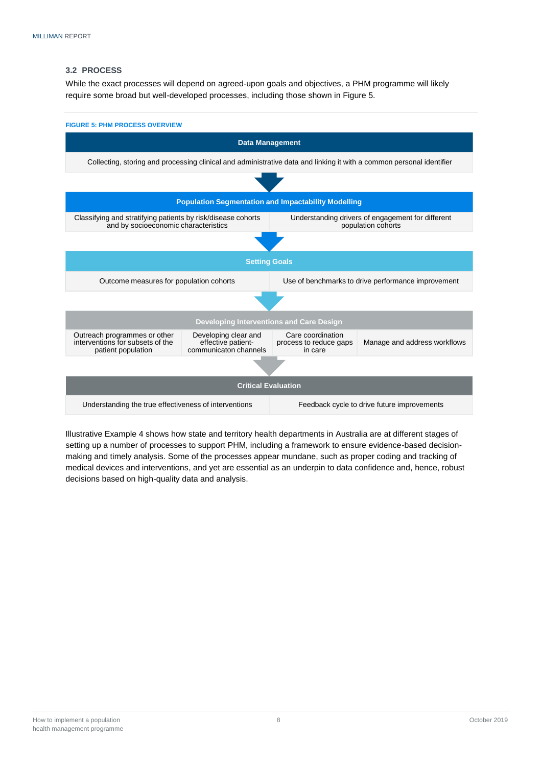# <span id="page-9-0"></span>**3.2 PROCESS**

While the exact processes will depend on agreed-upon goals and objectives, a PHM programme will likely require some broad but well-developed processes, including those shown in Figure 5.



Illustrative Example 4 shows how state and territory health departments in Australia are at different stages of setting up a number of processes to support PHM, including a framework to ensure evidence-based decisionmaking and timely analysis. Some of the processes appear mundane, such as proper coding and tracking of medical devices and interventions, and yet are essential as an underpin to data confidence and, hence, robust decisions based on high-quality data and analysis.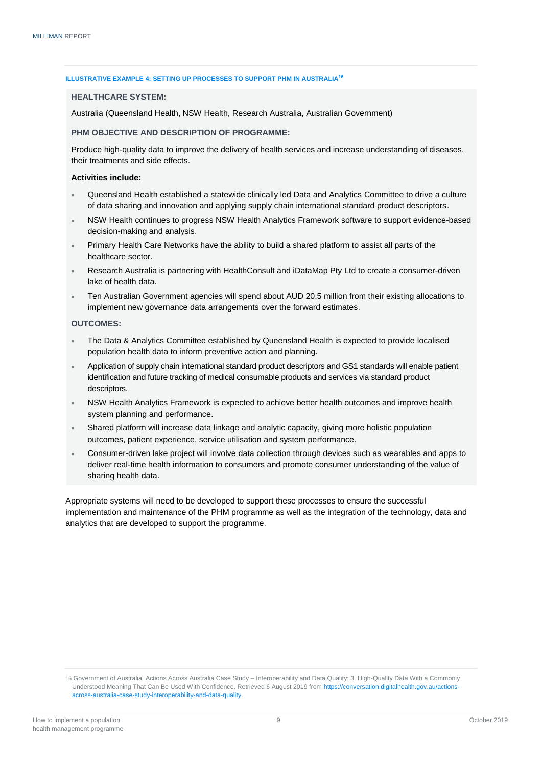#### **ILLUSTRATIVE EXAMPLE 4: SETTING UP PROCESSES TO SUPPORT PHM IN AUSTRALIA<sup>16</sup>**

#### **HEALTHCARE SYSTEM:**

Australia (Queensland Health, NSW Health, Research Australia, Australian Government)

### **PHM OBJECTIVE AND DESCRIPTION OF PROGRAMME:**

Produce high-quality data to improve the delivery of health services and increase understanding of diseases, their treatments and side effects.

# **Activities include:**

- Queensland Health established a statewide clinically led Data and Analytics Committee to drive a culture of data sharing and innovation and applying supply chain international standard product descriptors.
- NSW Health continues to progress NSW Health Analytics Framework software to support evidence-based decision-making and analysis.
- Primary Health Care Networks have the ability to build a shared platform to assist all parts of the healthcare sector.
- Research Australia is partnering with HealthConsult and iDataMap Pty Ltd to create a consumer-driven lake of health data.
- Ten Australian Government agencies will spend about AUD 20.5 million from their existing allocations to implement new governance data arrangements over the forward estimates.

# **OUTCOMES:**

- The Data & Analytics Committee established by Queensland Health is expected to provide localised population health data to inform preventive action and planning.
- Application of supply chain international standard product descriptors and GS1 standards will enable patient identification and future tracking of medical consumable products and services via standard product descriptors.
- NSW Health Analytics Framework is expected to achieve better health outcomes and improve health system planning and performance.
- Shared platform will increase data linkage and analytic capacity, giving more holistic population outcomes, patient experience, service utilisation and system performance.
- Consumer-driven lake project will involve data collection through devices such as wearables and apps to deliver real-time health information to consumers and promote consumer understanding of the value of sharing health data.

<span id="page-10-0"></span>Appropriate systems will need to be developed to support these processes to ensure the successful implementation and maintenance of the PHM programme as well as the integration of the technology, data and analytics that are developed to support the programme.

<sup>16</sup> Government of Australia. Actions Across Australia Case Study – Interoperability and Data Quality: 3. High-Quality Data With a Commonly Understood Meaning That Can Be Used With Confidence. Retrieved 6 August 2019 from [https://conversation.digitalhealth.gov.au/actions](https://conversation.digitalhealth.gov.au/actions-across-australia-case-study-interoperability-and-data-quality)[across-australia-case-study-interoperability-and-data-quality.](https://conversation.digitalhealth.gov.au/actions-across-australia-case-study-interoperability-and-data-quality)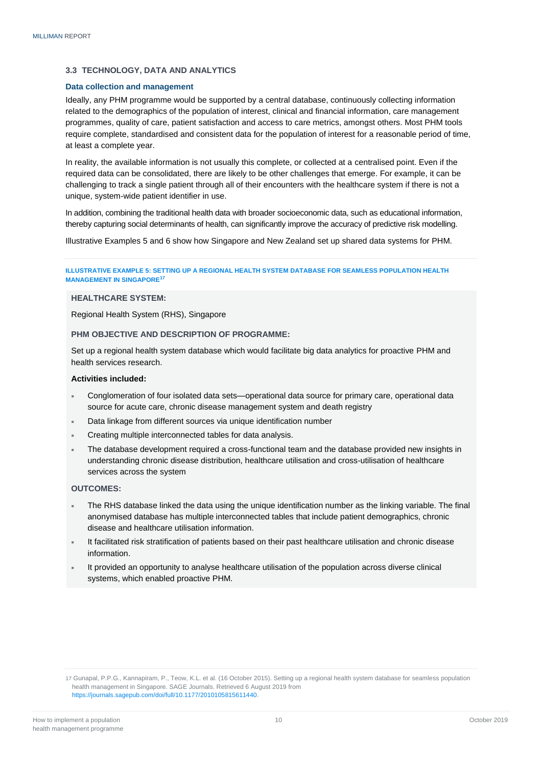# **3.3 TECHNOLOGY, DATA AND ANALYTICS**

# <span id="page-11-0"></span>**Data collection and management**

Ideally, any PHM programme would be supported by a central database, continuously collecting information related to the demographics of the population of interest, clinical and financial information, care management programmes, quality of care, patient satisfaction and access to care metrics, amongst others. Most PHM tools require complete, standardised and consistent data for the population of interest for a reasonable period of time, at least a complete year.

In reality, the available information is not usually this complete, or collected at a centralised point. Even if the required data can be consolidated, there are likely to be other challenges that emerge. For example, it can be challenging to track a single patient through all of their encounters with the healthcare system if there is not a unique, system-wide patient identifier in use.

In addition, combining the traditional health data with broader socioeconomic data, such as educational information, thereby capturing social determinants of health, can significantly improve the accuracy of predictive risk modelling.

Illustrative Examples 5 and 6 show how Singapore and New Zealand set up shared data systems for PHM.

#### **ILLUSTRATIVE EXAMPLE 5: SETTING UP A REGIONAL HEALTH SYSTEM DATABASE FOR SEAMLESS POPULATION HEALTH MANAGEMENT IN SINGAPORE<sup>17</sup>**

# **HEALTHCARE SYSTEM:**

Regional Health System (RHS), Singapore

# **PHM OBJECTIVE AND DESCRIPTION OF PROGRAMME:**

Set up a regional health system database which would facilitate big data analytics for proactive PHM and health services research.

# **Activities included:**

- Conglomeration of four isolated data sets—operational data source for primary care, operational data source for acute care, chronic disease management system and death registry
- Data linkage from different sources via unique identification number
- Creating multiple interconnected tables for data analysis.
- The database development required a cross-functional team and the database provided new insights in understanding chronic disease distribution, healthcare utilisation and cross-utilisation of healthcare services across the system

# **OUTCOMES:**

- The RHS database linked the data using the unique identification number as the linking variable. The final anonymised database has multiple interconnected tables that include patient demographics, chronic disease and healthcare utilisation information.
- It facilitated risk stratification of patients based on their past healthcare utilisation and chronic disease information.
- It provided an opportunity to analyse healthcare utilisation of the population across diverse clinical systems, which enabled proactive PHM.

<sup>17</sup> Gunapal, P.P.G., Kannapiram, P., Teow, K.L. et al. (16 October 2015). Setting up a regional health system database for seamless population health management in Singapore. SAGE Journals. Retrieved 6 August 2019 from [https://journals.sagepub.com/doi/full/10.1177/2010105815611440.](https://journals.sagepub.com/doi/full/10.1177/2010105815611440)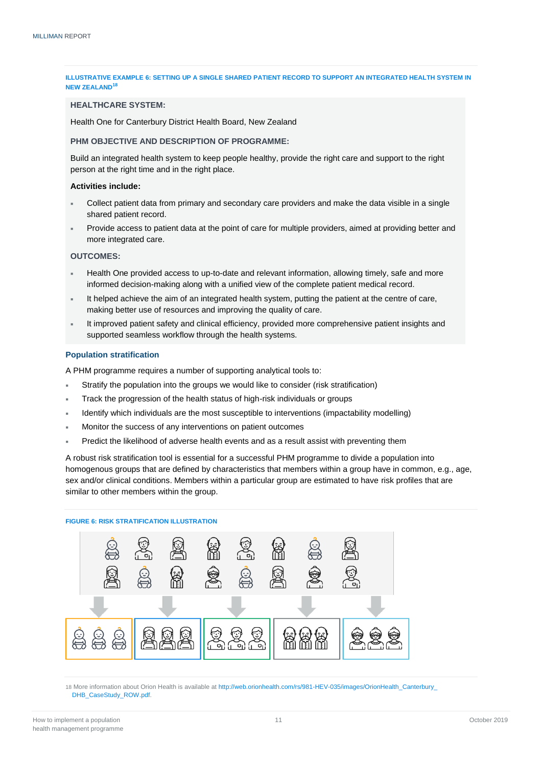### **ILLUSTRATIVE EXAMPLE 6: SETTING UP A SINGLE SHARED PATIENT RECORD TO SUPPORT AN INTEGRATED HEALTH SYSTEM IN NEW ZEALAND<sup>18</sup>**

### **HEALTHCARE SYSTEM:**

Health One for Canterbury District Health Board, New Zealand

### **PHM OBJECTIVE AND DESCRIPTION OF PROGRAMME:**

Build an integrated health system to keep people healthy, provide the right care and support to the right person at the right time and in the right place.

#### **Activities include:**

- Collect patient data from primary and secondary care providers and make the data visible in a single shared patient record.
- Provide access to patient data at the point of care for multiple providers, aimed at providing better and more integrated care.

### **OUTCOMES:**

- Health One provided access to up-to-date and relevant information, allowing timely, safe and more informed decision-making along with a unified view of the complete patient medical record.
- It helped achieve the aim of an integrated health system, putting the patient at the centre of care, making better use of resources and improving the quality of care.
- It improved patient safety and clinical efficiency, provided more comprehensive patient insights and supported seamless workflow through the health systems.

#### <span id="page-12-0"></span>**Population stratification**

A PHM programme requires a number of supporting analytical tools to:

- Stratify the population into the groups we would like to consider (risk stratification)
- Track the progression of the health status of high-risk individuals or groups
- Identify which individuals are the most susceptible to interventions (impactability modelling)
- Monitor the success of any interventions on patient outcomes
- Predict the likelihood of adverse health events and as a result assist with preventing them

A robust risk stratification tool is essential for a successful PHM programme to divide a population into homogenous groups that are defined by characteristics that members within a group have in common, e.g., age, sex and/or clinical conditions. Members within a particular group are estimated to have risk profiles that are similar to other members within the group.

#### **FIGURE 6: RISK STRATIFICATION ILLUSTRATION**



18 More information about Orion Health is available a[t http://web.orionhealth.com/rs/981-HEV-035/images/OrionHealth\\_Canterbury\\_](http://web.orionhealth.com/rs/981-HEV-035/images/OrionHealth_Canterbury_DHB_CaseStudy_ROW.pdf) [DHB\\_CaseStudy\\_ROW.pdf.](http://web.orionhealth.com/rs/981-HEV-035/images/OrionHealth_Canterbury_DHB_CaseStudy_ROW.pdf)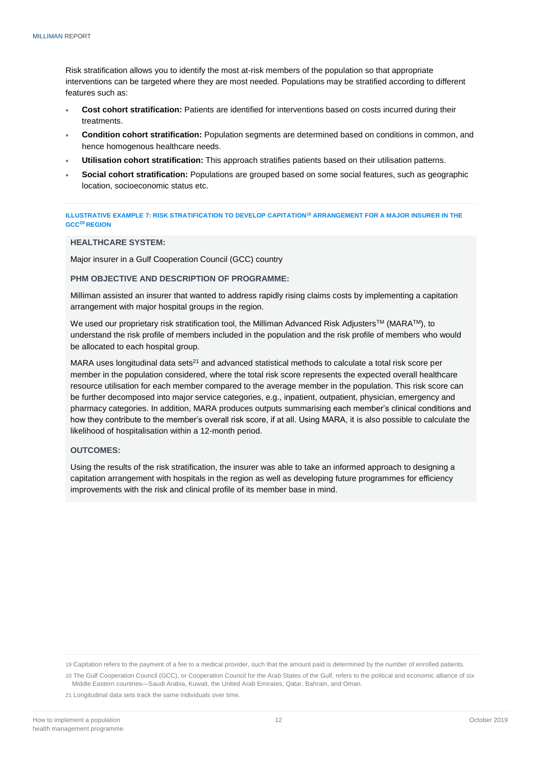Risk stratification allows you to identify the most at-risk members of the population so that appropriate interventions can be targeted where they are most needed. Populations may be stratified according to different features such as:

- **Cost cohort stratification:** Patients are identified for interventions based on costs incurred during their treatments.
- **Condition cohort stratification:** Population segments are determined based on conditions in common, and hence homogenous healthcare needs.
- **Utilisation cohort stratification:** This approach stratifies patients based on their utilisation patterns.
- **Social cohort stratification:** Populations are grouped based on some social features, such as geographic location, socioeconomic status etc.

**ILLUSTRATIVE EXAMPLE 7: RISK STRATIFICATION TO DEVELOP CAPITATION<sup>19</sup> ARRANGEMENT FOR A MAJOR INSURER IN THE GCC<sup>20</sup> REGION**

# **HEALTHCARE SYSTEM:**

Major insurer in a Gulf Cooperation Council (GCC) country

# **PHM OBJECTIVE AND DESCRIPTION OF PROGRAMME:**

Milliman assisted an insurer that wanted to address rapidly rising claims costs by implementing a capitation arrangement with major hospital groups in the region.

We used our proprietary risk stratification tool, the Milliman Advanced Risk Adjusters™ (MARA™), to understand the risk profile of members included in the population and the risk profile of members who would be allocated to each hospital group.

MARA uses longitudinal data sets $21$  and advanced statistical methods to calculate a total risk score per member in the population considered, where the total risk score represents the expected overall healthcare resource utilisation for each member compared to the average member in the population. This risk score can be further decomposed into major service categories, e.g., inpatient, outpatient, physician, emergency and pharmacy categories. In addition, MARA produces outputs summarising each member's clinical conditions and how they contribute to the member's overall risk score, if at all. Using MARA, it is also possible to calculate the likelihood of hospitalisation within a 12-month period.

# **OUTCOMES:**

<span id="page-13-0"></span>Using the results of the risk stratification, the insurer was able to take an informed approach to designing a capitation arrangement with hospitals in the region as well as developing future programmes for efficiency improvements with the risk and clinical profile of its member base in mind.

<sup>19</sup> Capitation refers to the payment of a fee to a medical provider, such that the amount paid is determined by the number of enrolled patients.

<sup>20</sup> The Gulf Cooperation Council (GCC), or Cooperation Council for the Arab States of the Gulf, refers to the political and economic alliance of six Middle Eastern countries—Saudi Arabia, Kuwait, the United Arab Emirates, Qatar, Bahrain, and Oman.

<sup>21</sup> Longitudinal data sets track the same individuals over time.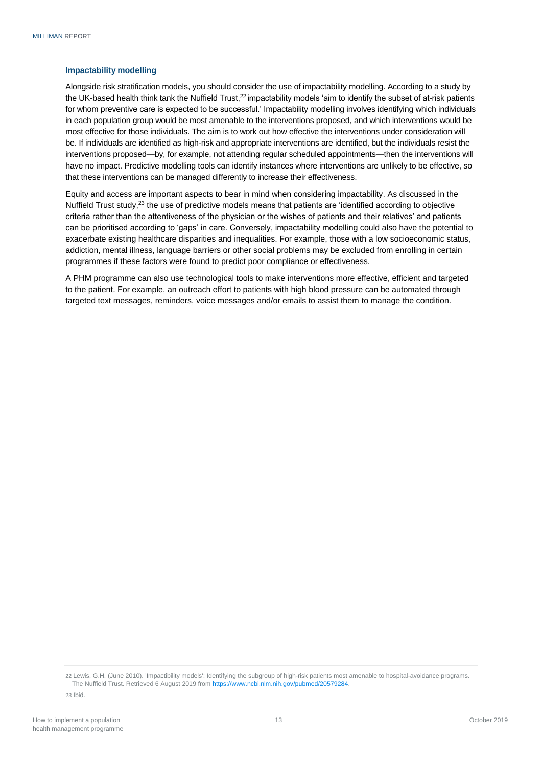# **Impactability modelling**

Alongside risk stratification models, you should consider the use of impactability modelling. According to a study by the UK-based health think tank the Nuffield Trust,<sup>22</sup> impactability models 'aim to identify the subset of at-risk patients for whom preventive care is expected to be successful.' Impactability modelling involves identifying which individuals in each population group would be most amenable to the interventions proposed, and which interventions would be most effective for those individuals. The aim is to work out how effective the interventions under consideration will be. If individuals are identified as high-risk and appropriate interventions are identified, but the individuals resist the interventions proposed—by, for example, not attending regular scheduled appointments—then the interventions will have no impact. Predictive modelling tools can identify instances where interventions are unlikely to be effective, so that these interventions can be managed differently to increase their effectiveness.

Equity and access are important aspects to bear in mind when considering impactability. As discussed in the Nuffield Trust study,<sup>23</sup> the use of predictive models means that patients are 'identified according to objective criteria rather than the attentiveness of the physician or the wishes of patients and their relatives' and patients can be prioritised according to 'gaps' in care. Conversely, impactability modelling could also have the potential to exacerbate existing healthcare disparities and inequalities. For example, those with a low socioeconomic status, addiction, mental illness, language barriers or other social problems may be excluded from enrolling in certain programmes if these factors were found to predict poor compliance or effectiveness.

A PHM programme can also use technological tools to make interventions more effective, efficient and targeted to the patient. For example, an outreach effort to patients with high blood pressure can be automated through targeted text messages, reminders, voice messages and/or emails to assist them to manage the condition.

22 Lewis, G.H. (June 2010). 'Impactibility models': Identifying the subgroup of high-risk patients most amenable to hospital-avoidance programs. The Nuffield Trust. Retrieved 6 August 2019 fro[m https://www.ncbi.nlm.nih.gov/pubmed/20579284.](https://www.ncbi.nlm.nih.gov/pubmed/20579284)

23 Ibid.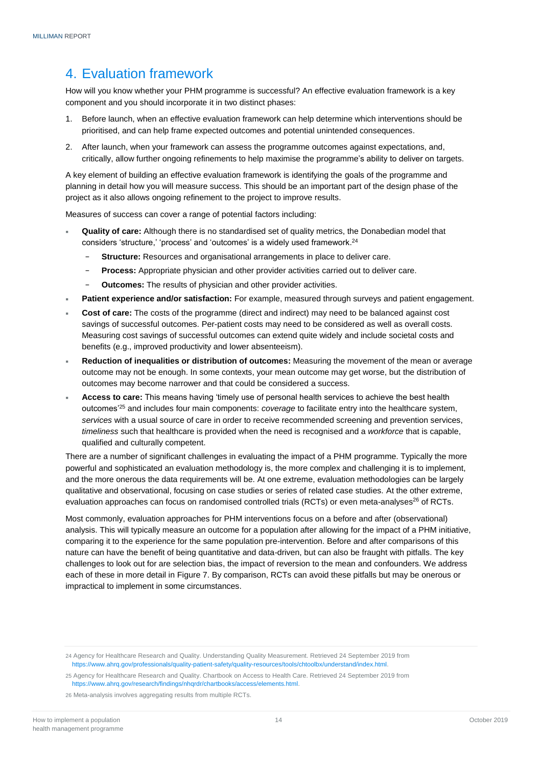# <span id="page-15-0"></span>4. Evaluation framework

How will you know whether your PHM programme is successful? An effective evaluation framework is a key component and you should incorporate it in two distinct phases:

- 1. Before launch, when an effective evaluation framework can help determine which interventions should be prioritised, and can help frame expected outcomes and potential unintended consequences.
- 2. After launch, when your framework can assess the programme outcomes against expectations, and, critically, allow further ongoing refinements to help maximise the programme's ability to deliver on targets.

A key element of building an effective evaluation framework is identifying the goals of the programme and planning in detail how you will measure success. This should be an important part of the design phase of the project as it also allows ongoing refinement to the project to improve results.

Measures of success can cover a range of potential factors including:

- **Quality of care:** Although there is no standardised set of quality metrics, the Donabedian model that considers 'structure,' 'process' and 'outcomes' is a widely used framework. 24
	- **Structure:** Resources and organisational arrangements in place to deliver care.
	- − **Process:** Appropriate physician and other provider activities carried out to deliver care.
	- **Outcomes:** The results of physician and other provider activities.
- **Patient experience and/or satisfaction:** For example, measured through surveys and patient engagement.
- **Cost of care:** The costs of the programme (direct and indirect) may need to be balanced against cost savings of successful outcomes. Per-patient costs may need to be considered as well as overall costs. Measuring cost savings of successful outcomes can extend quite widely and include societal costs and benefits (e.g., improved productivity and lower absenteeism).
- **Reduction of inequalities or distribution of outcomes:** Measuring the movement of the mean or average outcome may not be enough. In some contexts, your mean outcome may get worse, but the distribution of outcomes may become narrower and that could be considered a success.
- **Access to care:** This means having 'timely use of personal health services to achieve the best health outcomes'<sup>25</sup> and includes four main components: *coverage* to facilitate entry into the healthcare system, *services* with a usual source of care in order to receive recommended screening and prevention services, *timeliness* such that healthcare is provided when the need is recognised and a *workforce* that is capable, qualified and culturally competent.

There are a number of significant challenges in evaluating the impact of a PHM programme. Typically the more powerful and sophisticated an evaluation methodology is, the more complex and challenging it is to implement, and the more onerous the data requirements will be. At one extreme, evaluation methodologies can be largely qualitative and observational, focusing on case studies or series of related case studies. At the other extreme, evaluation approaches can focus on randomised controlled trials (RCTs) or even meta-analyses<sup>26</sup> of RCTs.

Most commonly, evaluation approaches for PHM interventions focus on a before and after (observational) analysis. This will typically measure an outcome for a population after allowing for the impact of a PHM initiative, comparing it to the experience for the same population pre-intervention. Before and after comparisons of this nature can have the benefit of being quantitative and data-driven, but can also be fraught with pitfalls. The key challenges to look out for are selection bias, the impact of reversion to the mean and confounders. We address each of these in more detail in Figure 7. By comparison, RCTs can avoid these pitfalls but may be onerous or impractical to implement in some circumstances.

<sup>24</sup> Agency for Healthcare Research and Quality. Understanding Quality Measurement. Retrieved 24 September 2019 from [https://www.ahrq.gov/professionals/quality-patient-safety/quality-resources/tools/chtoolbx/understand/index.html.](https://www.ahrq.gov/professionals/quality-patient-safety/quality-resources/tools/chtoolbx/understand/index.html)

<sup>25</sup> Agency for Healthcare Research and Quality. Chartbook on Access to Health Care. Retrieved 24 September 2019 from [https://www.ahrq.gov/research/findings/nhqrdr/chartbooks/access/elements.html.](https://www.ahrq.gov/research/findings/nhqrdr/chartbooks/access/elements.html)

<sup>26</sup> Meta-analysis involves aggregating results from multiple RCTs.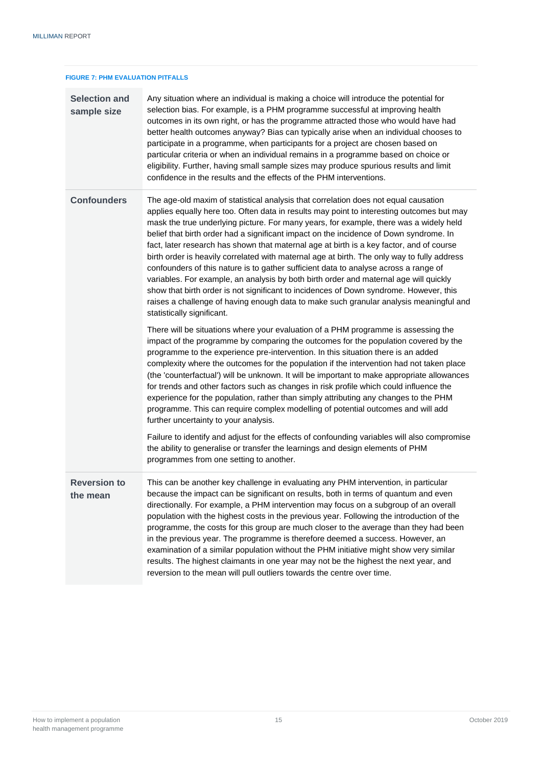**FIGURE 7: PHM EVALUATION PITFALLS**

| <b>Selection and</b><br>sample size | Any situation where an individual is making a choice will introduce the potential for<br>selection bias. For example, is a PHM programme successful at improving health<br>outcomes in its own right, or has the programme attracted those who would have had<br>better health outcomes anyway? Bias can typically arise when an individual chooses to<br>participate in a programme, when participants for a project are chosen based on<br>particular criteria or when an individual remains in a programme based on choice or<br>eligibility. Further, having small sample sizes may produce spurious results and limit<br>confidence in the results and the effects of the PHM interventions.                                                                                                                                                                                                                                                                  |
|-------------------------------------|--------------------------------------------------------------------------------------------------------------------------------------------------------------------------------------------------------------------------------------------------------------------------------------------------------------------------------------------------------------------------------------------------------------------------------------------------------------------------------------------------------------------------------------------------------------------------------------------------------------------------------------------------------------------------------------------------------------------------------------------------------------------------------------------------------------------------------------------------------------------------------------------------------------------------------------------------------------------|
| <b>Confounders</b>                  | The age-old maxim of statistical analysis that correlation does not equal causation<br>applies equally here too. Often data in results may point to interesting outcomes but may<br>mask the true underlying picture. For many years, for example, there was a widely held<br>belief that birth order had a significant impact on the incidence of Down syndrome. In<br>fact, later research has shown that maternal age at birth is a key factor, and of course<br>birth order is heavily correlated with maternal age at birth. The only way to fully address<br>confounders of this nature is to gather sufficient data to analyse across a range of<br>variables. For example, an analysis by both birth order and maternal age will quickly<br>show that birth order is not significant to incidences of Down syndrome. However, this<br>raises a challenge of having enough data to make such granular analysis meaningful and<br>statistically significant. |
|                                     | There will be situations where your evaluation of a PHM programme is assessing the<br>impact of the programme by comparing the outcomes for the population covered by the<br>programme to the experience pre-intervention. In this situation there is an added<br>complexity where the outcomes for the population if the intervention had not taken place<br>(the 'counterfactual') will be unknown. It will be important to make appropriate allowances<br>for trends and other factors such as changes in risk profile which could influence the<br>experience for the population, rather than simply attributing any changes to the PHM<br>programme. This can require complex modelling of potential outcomes and will add<br>further uncertainty to your analysis.<br>Failure to identify and adjust for the effects of confounding variables will also compromise                                                                                           |
|                                     | the ability to generalise or transfer the learnings and design elements of PHM<br>programmes from one setting to another.                                                                                                                                                                                                                                                                                                                                                                                                                                                                                                                                                                                                                                                                                                                                                                                                                                          |
| <b>Reversion to</b><br>the mean     | This can be another key challenge in evaluating any PHM intervention, in particular<br>because the impact can be significant on results, both in terms of quantum and even<br>directionally. For example, a PHM intervention may focus on a subgroup of an overall<br>population with the highest costs in the previous year. Following the introduction of the<br>programme, the costs for this group are much closer to the average than they had been<br>in the previous year. The programme is therefore deemed a success. However, an<br>examination of a similar population without the PHM initiative might show very similar<br>results. The highest claimants in one year may not be the highest the next year, and<br>reversion to the mean will pull outliers towards the centre over time.                                                                                                                                                             |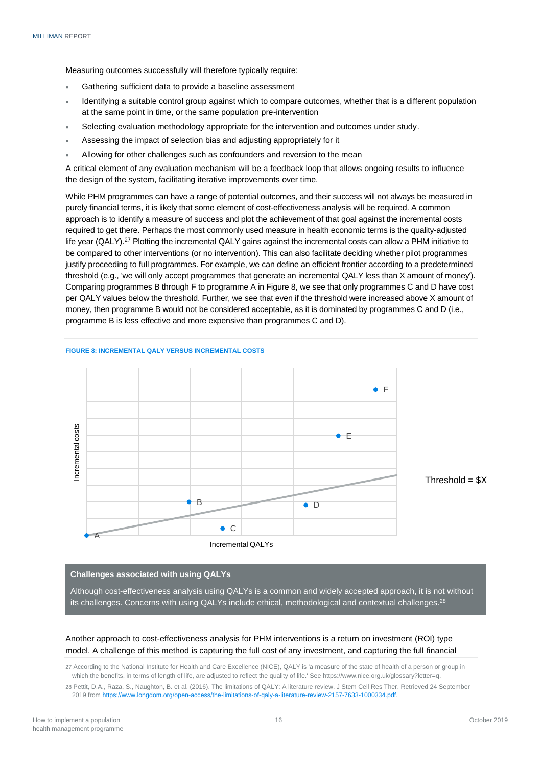Measuring outcomes successfully will therefore typically require:

- Gathering sufficient data to provide a baseline assessment
- Identifying a suitable control group against which to compare outcomes, whether that is a different population at the same point in time, or the same population pre-intervention
- Selecting evaluation methodology appropriate for the intervention and outcomes under study.
- Assessing the impact of selection bias and adjusting appropriately for it
- Allowing for other challenges such as confounders and reversion to the mean

A critical element of any evaluation mechanism will be a feedback loop that allows ongoing results to influence the design of the system, facilitating iterative improvements over time.

While PHM programmes can have a range of potential outcomes, and their success will not always be measured in purely financial terms, it is likely that some element of cost-effectiveness analysis will be required. A common approach is to identify a measure of success and plot the achievement of that goal against the incremental costs required to get there. Perhaps the most commonly used measure in health economic terms is the quality-adjusted life year (QALY).<sup>27</sup> Plotting the incremental QALY gains against the incremental costs can allow a PHM initiative to be compared to other interventions (or no intervention). This can also facilitate deciding whether pilot programmes justify proceeding to full programmes. For example, we can define an efficient frontier according to a predetermined threshold (e.g., 'we will only accept programmes that generate an incremental QALY less than X amount of money'). Comparing programmes B through F to programme A in Figure 8, we see that only programmes C and D have cost per QALY values below the threshold. Further, we see that even if the threshold were increased above X amount of money, then programme B would not be considered acceptable, as it is dominated by programmes C and D (i.e., programme B is less effective and more expensive than programmes C and D).





Threshold  $= $X$ 

# **Challenges associated with using QALYs**

Although cost-effectiveness analysis using QALYs is a common and widely accepted approach, it is not without its challenges. Concerns with using QALYs include ethical, methodological and contextual challenges.<sup>28</sup>

# Another approach to cost-effectiveness analysis for PHM interventions is a return on investment (ROI) type model. A challenge of this method is capturing the full cost of any investment, and capturing the full financial

27 According to the National Institute for Health and Care Excellence (NICE), QALY is 'a measure of the state of health of a person or group in which the benefits, in terms of length of life, are adjusted to reflect the quality of life.' See [https://www.nice.org.uk/glossary?letter=q.](https://www.nice.org.uk/glossary?letter=q)

28 Pettit, D.A., Raza, S., Naughton, B. et al. (2016). The limitations of QALY: A literature review. J Stem Cell Res Ther. Retrieved 24 September 2019 fro[m https://www.longdom.org/open-access/the-limitations-of-qaly-a-literature-review-2157-7633-1000334.pdf.](https://www.longdom.org/open-access/the-limitations-of-qaly-a-literature-review-2157-7633-1000334.pdf)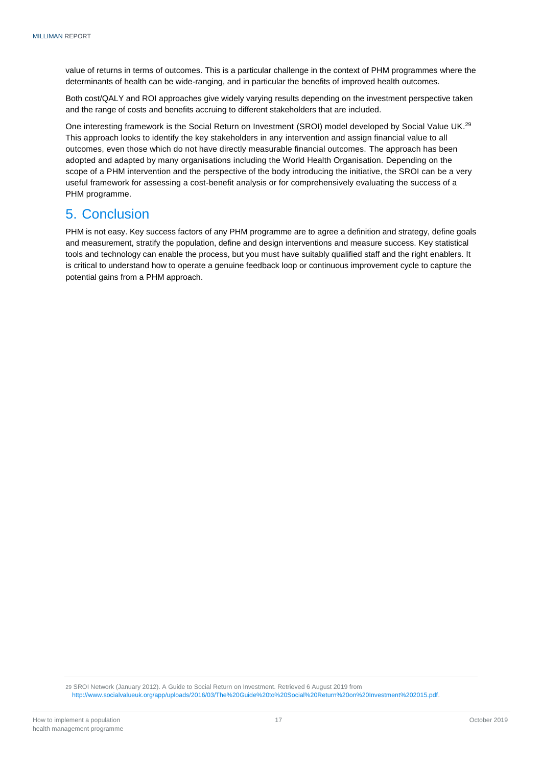value of returns in terms of outcomes. This is a particular challenge in the context of PHM programmes where the determinants of health can be wide-ranging, and in particular the benefits of improved health outcomes.

Both cost/QALY and ROI approaches give widely varying results depending on the investment perspective taken and the range of costs and benefits accruing to different stakeholders that are included.

One interesting framework is the Social Return on Investment (SROI) model developed by Social Value UK.<sup>29</sup> This approach looks to identify the key stakeholders in any intervention and assign financial value to all outcomes, even those which do not have directly measurable financial outcomes. The approach has been adopted and adapted by many organisations including the World Health Organisation. Depending on the scope of a PHM intervention and the perspective of the body introducing the initiative, the SROI can be a very useful framework for assessing a cost-benefit analysis or for comprehensively evaluating the success of a PHM programme.

# <span id="page-18-0"></span>5. Conclusion

PHM is not easy. Key success factors of any PHM programme are to agree a definition and strategy, define goals and measurement, stratify the population, define and design interventions and measure success. Key statistical tools and technology can enable the process, but you must have suitably qualified staff and the right enablers. It is critical to understand how to operate a genuine feedback loop or continuous improvement cycle to capture the potential gains from a PHM approach.

29 SROI Network (January 2012). A Guide to Social Return on Investment. Retrieved 6 August 2019 from

[http://www.socialvalueuk.org/app/uploads/2016/03/The%20Guide%20to%20Social%20Return%20on%20Investment%202015.pdf.](http://www.socialvalueuk.org/app/uploads/2016/03/The%20Guide%20to%20Social%20Return%20on%20Investment%202015.pdf)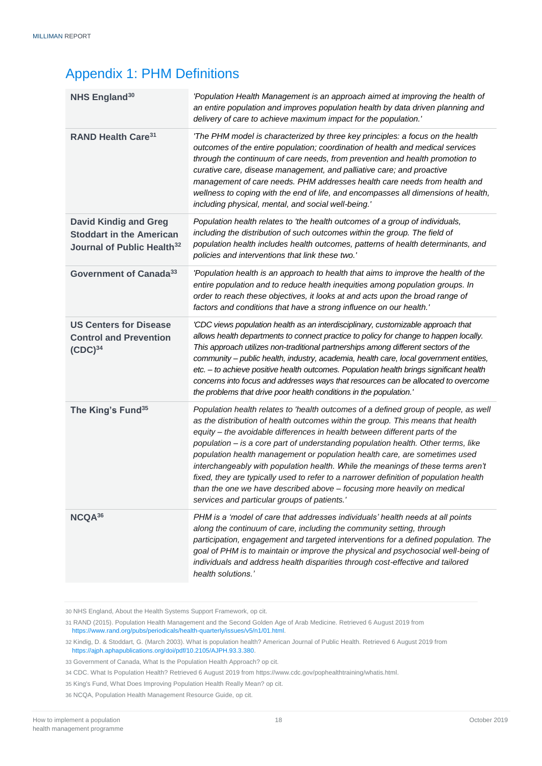# <span id="page-19-0"></span>Appendix 1: PHM Definitions

| NHS England <sup>30</sup>                                                                                 | 'Population Health Management is an approach aimed at improving the health of<br>an entire population and improves population health by data driven planning and<br>delivery of care to achieve maximum impact for the population.'                                                                                                                                                                                                                                                                                                                                                                                                                                                                                              |
|-----------------------------------------------------------------------------------------------------------|----------------------------------------------------------------------------------------------------------------------------------------------------------------------------------------------------------------------------------------------------------------------------------------------------------------------------------------------------------------------------------------------------------------------------------------------------------------------------------------------------------------------------------------------------------------------------------------------------------------------------------------------------------------------------------------------------------------------------------|
| RAND Health Care <sup>31</sup>                                                                            | 'The PHM model is characterized by three key principles: a focus on the health<br>outcomes of the entire population; coordination of health and medical services<br>through the continuum of care needs, from prevention and health promotion to<br>curative care, disease management, and palliative care; and proactive<br>management of care needs. PHM addresses health care needs from health and<br>wellness to coping with the end of life, and encompasses all dimensions of health,<br>including physical, mental, and social well-being.'                                                                                                                                                                              |
| <b>David Kindig and Greg</b><br><b>Stoddart in the American</b><br>Journal of Public Health <sup>32</sup> | Population health relates to 'the health outcomes of a group of individuals,<br>including the distribution of such outcomes within the group. The field of<br>population health includes health outcomes, patterns of health determinants, and<br>policies and interventions that link these two.'                                                                                                                                                                                                                                                                                                                                                                                                                               |
| Government of Canada <sup>33</sup>                                                                        | 'Population health is an approach to health that aims to improve the health of the<br>entire population and to reduce health inequities among population groups. In<br>order to reach these objectives, it looks at and acts upon the broad range of<br>factors and conditions that have a strong influence on our health.'                                                                                                                                                                                                                                                                                                                                                                                                      |
| <b>US Centers for Disease</b><br><b>Control and Prevention</b><br>$(CDC)^{34}$                            | 'CDC views population health as an interdisciplinary, customizable approach that<br>allows health departments to connect practice to policy for change to happen locally.<br>This approach utilizes non-traditional partnerships among different sectors of the<br>community - public health, industry, academia, health care, local government entities,<br>etc. - to achieve positive health outcomes. Population health brings significant health<br>concerns into focus and addresses ways that resources can be allocated to overcome<br>the problems that drive poor health conditions in the population.'                                                                                                                 |
| The King's Fund <sup>35</sup>                                                                             | Population health relates to 'health outcomes of a defined group of people, as well<br>as the distribution of health outcomes within the group. This means that health<br>equity - the avoidable differences in health between different parts of the<br>population - is a core part of understanding population health. Other terms, like<br>population health management or population health care, are sometimes used<br>interchangeably with population health. While the meanings of these terms aren't<br>fixed, they are typically used to refer to a narrower definition of population health<br>than the one we have described above - focusing more heavily on medical<br>services and particular groups of patients.' |
| $NCQA^{36}$                                                                                               | PHM is a 'model of care that addresses individuals' health needs at all points<br>along the continuum of care, including the community setting, through<br>participation, engagement and targeted interventions for a defined population. The<br>goal of PHM is to maintain or improve the physical and psychosocial well-being of<br>individuals and address health disparities through cost-effective and tailored<br>health solutions.'                                                                                                                                                                                                                                                                                       |

30 NHS England, About the Health Systems Support Framework, op cit.

- 35 King's Fund, What Does Improving Population Health Really Mean? op cit.
- 36 NCQA, Population Health Management Resource Guide, op cit.

<sup>31</sup> RAND (2015). Population Health Management and the Second Golden Age of Arab Medicine. Retrieved 6 August 2019 from [https://www.rand.org/pubs/periodicals/health-quarterly/issues/v5/n1/01.html.](https://www.rand.org/pubs/periodicals/health-quarterly/issues/v5/n1/01.html)

<sup>32</sup> Kindig, D. & Stoddart, G. (March 2003). What is population health? American Journal of Public Health. Retrieved 6 August 2019 from [https://ajph.aphapublications.org/doi/pdf/10.2105/AJPH.93.3.380.](https://ajph.aphapublications.org/doi/pdf/10.2105/AJPH.93.3.380)

<sup>33</sup> Government of Canada, What Is the Population Health Approach? op cit.

<sup>34</sup> CDC. What Is Population Health? Retrieved 6 August 2019 fro[m https://www.cdc.gov/pophealthtraining/whatis.html.](https://www.cdc.gov/pophealthtraining/whatis.html)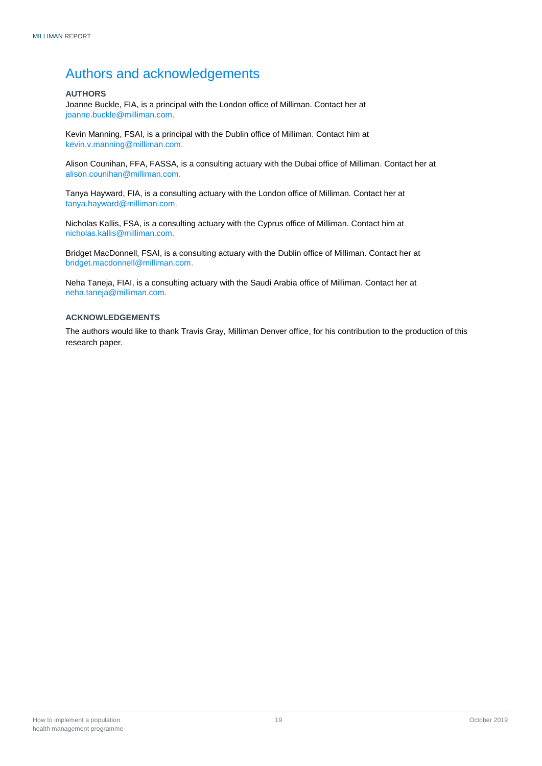# <span id="page-20-0"></span>Authors and acknowledgements

# <span id="page-20-1"></span>**AUTHORS**

Joanne Buckle, FIA, is a principal with the London office of Milliman. Contact her at [joanne.buckle@milliman.com.](mailto:joanne.buckle@milliman.com)

Kevin Manning, FSAI, is a principal with the Dublin office of Milliman. Contact him at [kevin.v.manning@milliman.com.](mailto:kevin.v.manning@milliman.com)

Alison Counihan, FFA, FASSA, is a consulting actuary with the Dubai office of Milliman. Contact her at [alison.counihan@milliman.com.](mailto:alison.counihan@milliman.com)

Tanya Hayward, FIA, is a consulting actuary with the London office of Milliman. Contact her at [tanya.hayward@milliman.com.](mailto:tanya.hayward@milliman.com)

Nicholas Kallis, FSA, is a consulting actuary with the Cyprus office of Milliman. Contact him at [nicholas.kallis@milliman.com.](mailto:nicholas.kallis@milliman.com)

Bridget MacDonnell, FSAI, is a consulting actuary with the Dublin office of Milliman. Contact her at [bridget.macdonnell@milliman.com.](mailto:bridget.macdonnell@milliman.com)

Neha Taneja, FIAI, is a consulting actuary with the Saudi Arabia office of Milliman. Contact her at neha.taneja@milliman.com.

# <span id="page-20-2"></span>**ACKNOWLEDGEMENTS**

The authors would like to thank Travis Gray, Milliman Denver office, for his contribution to the production of this research paper.